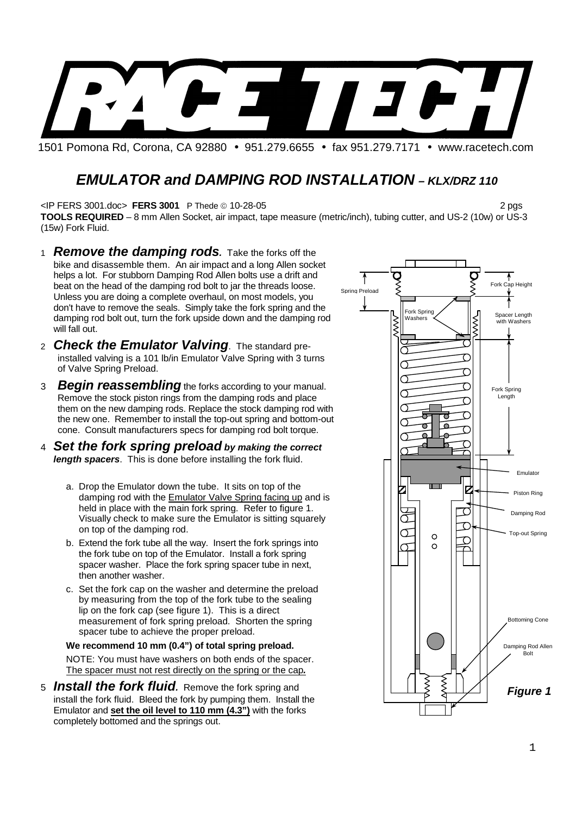

1501 Pomona Rd, Corona, CA 92880 • 951.279.6655 • fax 951.279.7171 • www.racetech.com

# **EMULATOR and DAMPING ROD INSTALLATION - KLX/DRZ 110**

<IP FERS 3001.doc> **FERS 3001** P Thede 10-28-05 2 pgs

**TOOLS REQUIRED** – 8 mm Allen Socket, air impact, tape measure (metric/inch), tubing cutter, and US-2 (10w) or US-3 (15w) Fork Fluid.

- 1 **Remove the damping rods.** Take the forks off the bike and disassemble them. An air impact and a long Allen socket helps a lot. For stubborn Damping Rod Allen bolts use a drift and beat on the head of the damping rod bolt to jar the threads loose. Unless you are doing a complete overhaul, on most models, you don't have to remove the seals. Simply take the fork spring and the damping rod bolt out, turn the fork upside down and the damping rod will fall out.
- 2 **Check the Emulator Valving**. The standard preinstalled valving is a 101 lb/in Emulator Valve Spring with 3 turns of Valve Spring Preload.
- 3 **Begin reassembling** the forks according to your manual. Remove the stock piston rings from the damping rods and place them on the new damping rods. Replace the stock damping rod with the new one. Remember to install the top-out spring and bottom-out cone. Consult manufacturers specs for damping rod bolt torque.
- 4 **Set the fork spring preload by making the correct length spacers**. This is done before installing the fork fluid.
	- a. Drop the Emulator down the tube. It sits on top of the damping rod with the Emulator Valve Spring facing up and is held in place with the main fork spring. Refer to figure 1. Visually check to make sure the Emulator is sitting squarely on top of the damping rod.
	- b. Extend the fork tube all the way. Insert the fork springs into the fork tube on top of the Emulator. Install a fork spring spacer washer. Place the fork spring spacer tube in next, then another washer.
	- c. Set the fork cap on the washer and determine the preload by measuring from the top of the fork tube to the sealing lip on the fork cap (see figure 1). This is a direct measurement of fork spring preload. Shorten the spring spacer tube to achieve the proper preload.

#### **We recommend 10 mm (0.4") of total spring preload.**

NOTE: You must have washers on both ends of the spacer. The spacer must not rest directly on the spring or the cap**.**

5 **Install the fork fluid.** Remove the fork spring and install the fork fluid. Bleed the fork by pumping them. Install the Emulator and **set the oil level to 110 mm (4.3")** with the forks completely bottomed and the springs out.